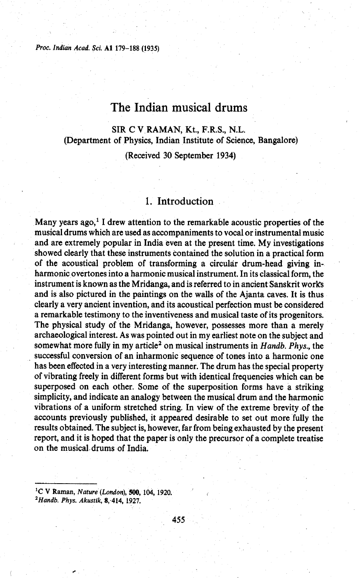*Proc. Indian Acad. Sci.* **A1 179-188 (1935)** 

# The Indian musical drums

## SIR C V RAMAN, Kt., F.R.S., **N.L.**  (Department of Physics, Indian Institute of Science, Bangalore)

(Received 30 September 1934)

### 1. Introduction

Many years ago,' I drew attention to the remarkable acoustic properties of the musical drums which are used as accompaniments to vocal or instrumental music and are extremely popular in India even at the present time. My investigations showed clearly that these instruments contained the solution in a practical form of the acoustical problem of transforming a circular drum-head giving inharmonic overtones into a harmonic musical instrument. In its classical form, the instrument is known as the Mridanga, and is referred to in ancient Sanskrit works and is also pictured in the paintings on the walls of the Ajanta caves. It is thus clearly a very ancient invention, and its acoustical perfection must be considered a remarkable testimony to the inventiveness and musical taste of its progenitors. The physical study of the Mridanga, however, possesses more than a merely archaeological interest. As was pointed out in my earliest note on the subject and somewhat more fully in my article<sup>2</sup> on musical instruments in Handb. Phys., the successful conversion of an inharmonic sequence of tones into a harmonic one has been effected in a very interesting manner. The drum has the special property of vibrating freely in different forms but with identical frequencies which can be superposed on each other. Some of the superposition forms have a striking simplicity, and indicate an analogy between the musical drum and the harmonic vibrations of a uniform stretched string. In view of the extreme brevity of the accounts previously published, it appeared desirable to set out more fully the results obtained. The subject is, however, far from being exhausted by the present report, and it is hoped that the paper is only the precursor of a complete treatise on the musical.drums of India.

**'C** *V* **Raman,** *Nature (London), 500,* **104, 1920.**  *'Handb. Phys. Akustik, 8, 414,* **1927.**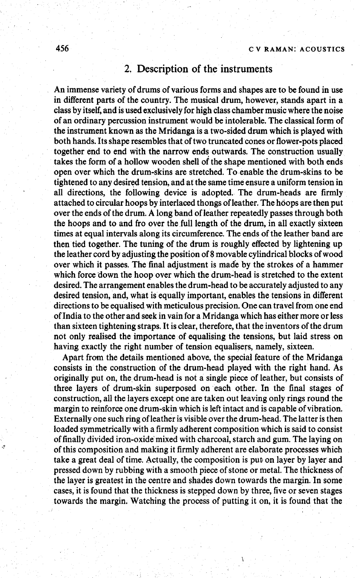## 2. Description of the instruments

An immense variety of drums of various forms and shapes are to be found in use in different parts of the country. The musical drum, however, stands apart in a class by itself, and is used exclusively for high class chamber music where the noise of an ordinary percussion instrument would be intolerable. The classical form of the instrument known as the Mridanga is a two-sided drum which is played with both hands. Its shape resembles that of two truncated cones or flower-pots placed together end to end with the narrow ends outwards. The construction usually takes the form of a hollow wooden shell of the shape mentioned with both ends open over which the drum-skins are stretched. To enable the drum-skins to be tightened to any desired tension, and at the same time ensure a uniform tension in all directions, the following device is adopted. The drum-heads are firmly attached to circular hoops by interlaced thongs of leather. The hoops are then put over the ends of the drum. A long band of leather repeatedly passes through both the hoops and to and fro over the full length of the drum, in all exactly sixteen times at equal intervals along its circumference. The ends of the leather band are then tied together. The tuning of the drum is roughly effected by lightening up the leather cord by adjusting the position of 8 movable cylindrical blocks of wood over which it passes. The final adjustment is made by the strokes of a hammer which force down the hoop over which the drum-head is stretched to the extent desired. The arrangement enables the drum-head to be accurately adjusted to any desired tension, and, what is equally important, enables the tensions in different directions to be equalised with meticulous precision. One can travel from one end of India to the other and seek in vain for a Mridanga which has either more or less than sixteen tightening straps. It is clear, therefore, that the inventors of the drum not only realised the importance of equalising the tensions, but laid stress on having exactly the right number of tension equalisers, namely, sixteen.

Apart from the details mentioned above, the special feature of the Mridanga consists in the construction of the drum-head played with the right hand. As originally put on, the drum-head is not a single piece of leather, but consists of three layers of drum-skin superposed on each other. In the final stages of construction, all the layers except one are taken out leaving only rings round the margin to reinforce one drum-skin which is left intact and is capable of vibration. Externally one such ring of leather is visible over the drum-head. The latter is then loaded symmetrically with a firmly adherent composition which is said to consist of finally divided iron-oxide'mixed with charcoal, starch and gum. The laying on of this composition and making it firmly adherent are elaborate processes which take a great deal of time. Actaally, the composition is put on layer by layer and pressed down by rubbing with a smooth piece of stone or metal. The thickness of the layer is greatest in the centre and shades down towards the margin. In some cases, it is found that the thickness is stepped down by three, five or seven stages towards the margin. Watching the process of putting it on, it is found that the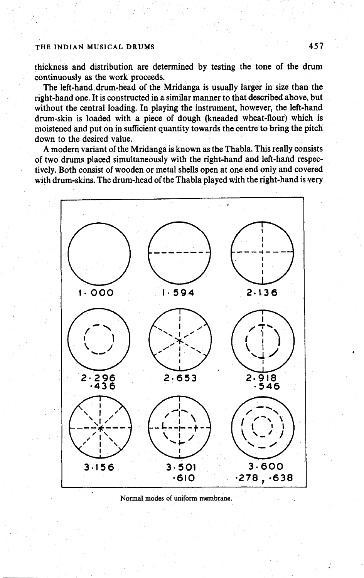thickness and distribution are determined by testing the tone of the drum continuously as the work proceeds.

The left-hand drum-head of the Mridanga is usually larger in size than the right-hand one. It is constructed in a similar manner to that described above, but without the central loading. In playing the instrument, however, the left-hand drum-skin is loaded with a piece of dough (kneaded wheat-flour) which is moistened and put on in sufficient quantity towards the centre to bring the pitch down to the desired value.

A modern variant of the Mridanga is known as the Thabla. This really consists of two drums placed simultaneously with the right-hand and left-hand respectively. Both consist of wooden or metal shells open at one end only and covered with drum-skins. The drum-head of the Thabla played with the right-hand is very



**Normal modes of uniform membrane.**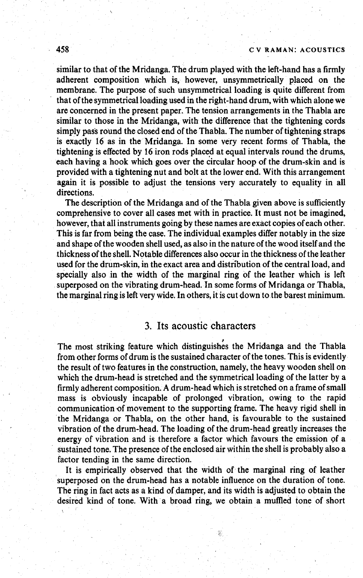#### **458** *c* **<sup>v</sup>RAMAN: ACOUSTICS**

similar to that of the Mridanga. The drum played with the left-hand has a firmly adherent composition which is, however, unsymmetrically placed on the membrane. The purpose of such unsymmetrical loading is quite different from that of the symmetrical loading used in the right-hand drum, with which alone we are concerned in the present paper. The tension arrangements in the Thabla are similar to those in the Mridanga, with the difference that the tightening cords simply pass round the closed end of the Thabla. The number of tightening straps is exactly 16 as in the Mridanga. In some very recent forms of Thabla, the tightening is effected by 16 iron rods placed at equal intervals round the drums, each having a hook which goes over the circular hoop of the drum-skin and is provided with a tightening nut and bolt at the lower end. With this arrangement again it is possible to adjust the tensions very accurately to equality in all directions.

The description of the Mridanga and of the Thabla given above is sufficiently comprehensive to cover all cases met with in practice. It must not be imagined, however, that all instruments going by these names are exact copies of each other. This is far from being the case. The individual examples differ notably in the size and shape of the wooden shell used, as also in the nature of the wood itself and the thickness of the shell. Notable differences also occur in the thickness of the leather used for the drum-skin, in the exact area and distribution of the central load, and specially also in the width of the marginal ring of the leather which is left superposed on the vibrating drum-head. In some forms of Mridanga or Thabla, the marginal ring is left very wide. In others, it is cut down to the barest minimum.

## **3.** Its acoustic characters

The most striking feature which distinguishes the Mridanga and the Thabla from other forms of drum is the sustained character of the tones. This is evidently the result of two features in the construction, namely, the heavy wooden shell on which the drum-head is stretched and the symmetrical loading of the latter by a firmly adherent composition. A drum-head which is stretched on a frame of small mass is obviously incapable of prolonged vibration, owing to the rapid communication of movement to the supporting frame. The heavy rigid shell in the Mridanga or Thabla, on the other hand, is favourable to the sustained vibration of the drum-head. The loading of the drum-head greatly increases the energy of vibration and is therefore a factor which favours the emission 9f a sustained tone. The presence of the enclosed air within the shell is probably also a factor tending in the same direction.

It is empirically observed that the width of the marginal ring of leather superposed on the drum-head has a notable influence on the duration of tone. The ring in fact acts as a kind of damper, and its width is adjusted to obtain the desired kind of tone. With a broad ring, we obtain a muffled tone of short

\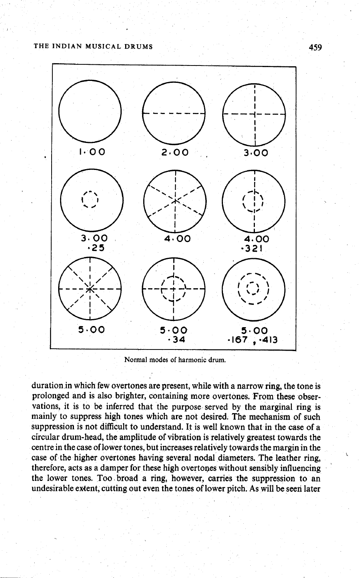

**Normal modes of harmonic drum.** 

duration in which few overtones are present, while with a narrow ring, the tone is prolonged and is also brighter, containing more overtones. From these observations, it is to be inferred that the purpose served by the marginal ring is mainly to suppress high tones which are not desired. The mechanism of such suppression is not difficult to understand. It is well known that in the case of a circular drum-head, the amplitude of vibration is relatively greatest towards the centre in the case of lower tones, but increases relatively towards the margin in the case of the higher overtones having several nodal diameters. The leather ring, therefore, acts as a damper for these high overtones without sensibly influencing the lower tones. Too broad a ring, however, carries the suppression to an undesirable extent, cutting out even the tones of lower pitch. As will be seen later

459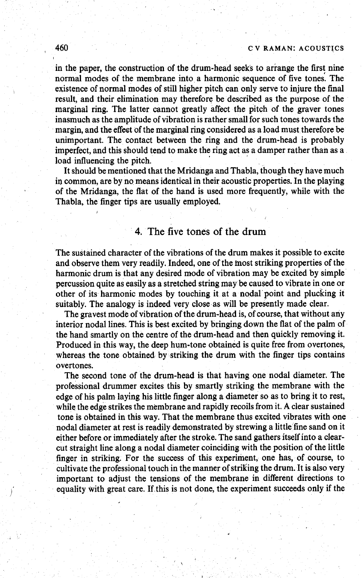#### , **460 c v RAMAN: ACOUSTICS**

in the paper, the construction of the drum-head seeks to arrange the first nine normal modes of the membrane into a harmonic sequence of five tones. The ) existence of normal modes of still higher pitch can only serve to injure the final result, and their elimination may therefore be described as the purpose of the marginal ring. The latter cannot greatly affect the pitch of the graver tones inasmuch as the amplitude of vibration is rather small for such tones towards the margin, and the effect of the marginal ring considered as a load must therefore be unimportant. The contact between the ring and the drum-head is probably imperfect, and this should tend to make the ring act as a damper rather than as a load influencing the pitch.

It should be mentioned that the Mridanga and Thabla, though they have much in common, are by no means identical in their acoustic properties. In the playing of the Mridanga, the flat of the hand is used more frequently, while with the Thabla, the finger tips are usually employed. \

#### 4. The five **tones** of the drum

The sustained character of the vibrations of the drum makes it possible to excite and observe them very readily. Indeed, one of the host striking properties of the harmonic drum is that any desired mode of vibration may be excited by simple percussion quite as easily as a stretched string may be caused to vibrate in one or other of its harmonic modes by touching it at a nodal point and plucking it suitably. The analogy is indeed very close as will be presently made clear.

The gravest mode of vibration of the drum-head is, of course, that without any interior nodal lines. This is best excited by bringing down the flat of the palm of the hand smartly on the centre of the drum-head and then quickly removing it. Produced in this way, the deep hum-tone obtained is quite free from overtones, whereas the tone obtained by striking the drum with the finger tips contains overtones.

The second tone of the drum-head is that having one nodal diameter. The professional drummer excites this by smartly striking the membrane with the edge of his palm laying his little finger along a diameter so as to bring it to rest, while the edge strikes the membrane and rapidly recoils from it. A clear sustained tone is obtained in this way. That the membrane thus excited vibrates with one nodal diameter at rest is readily demonstrated by strewing a little fine sand on it either before or immediately after the stroke. The sand gathers itself into a clearcut straight line along a nodal diameter coinciding with the position of the little finger in striking. For the success of this experiment, one has, of course, to cultivate the professional touch in the manner of striking the drum. It is also very important to adjust the tensions of the membrane in different directions to equality with great care. If this is not done, the experiment succeeds only if the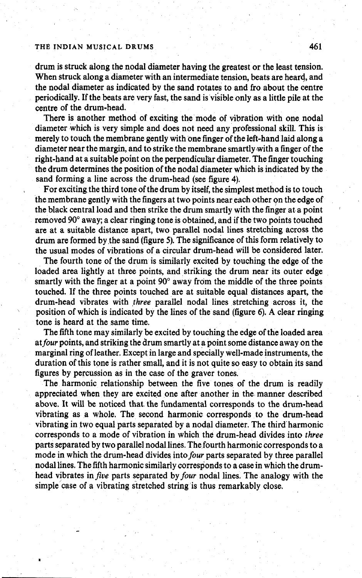drum is struck along the nodal diameter having the greatest or the least tension. When struck along a diameter with an intermediate tension, beats are heard, and the nodal diameter as indicated by the sand rotates to and fro about the centre periodically. If the beats are very fast, the sand is visible only as a little pile at the centre of the drum-head.

There is another method of exciting the mode of vibration with one nodal diameter which is very simple and does not need any professional skill. This is merely to touch the membrane gently with one finger of the left-hand laid along a diameter near the margin, and to strike the membrane smartly with a finger of the right-hand at a suitable point on the perpendicular diameter. The finger touching the drum determines the position of the nodal diameter which is indicated by the sand forming a line across the drum-head (see figure **4).** 

For exciting the third tone of the drum by itself, the simplest method is to touch the membrane gently with the fingers at two points near each other on the edge of the black central load and then strike the drum smartly with the finger at a point removed **90"** away; a clear ringing tone is obtained, and if the two points touched are at a suitable distance apart, two parallel nodal lines stretching across the drum are formed by the sand (figure 5). The significance of this form relatively to the usual modes of vibrations of a circular drum-head will be considered later.

The fourth tone of the drum is similarly excited by touching the edge of the loaded area lightly at three points, and striking the drum near its outer edge smartly with the finger at a point  $90^\circ$  away from the middle of the three points touched. If the three points touched are at suitable equal distances apart, the drum-head vibrates with three parallel nodal lines stretching across it, the position of which is indicated by the lines of the sand (figure 6). A clear ringing tone is heard at the same time.

The fifth tone may similarly be excited by touching the edge of the loaded area atfour points, and striking the drum smartly at a point some distance away on the marginal ring of leather. Except in large and specially well-made instruments, the duration of this tone is rather small, and it is not quite so easy to obtain its sand figures by percussion as in the case of the graver tones.

The harmonic relationship between the five tones of the drum is readily appreciated when they are excited one after another in the manner described above. It will be noticed that the fundamental corresponds to the drum-head vibrating as a whole. The second harmonic corresponds to the drum-head vibrating in tvo equal parts separated by a nodal diameter. The third harmonic corresponds to a mode of vibration in which the drum-head divides into three parts separated by two parallel nodal lines. The fourth harmonic corresponds to a mode in which the drum-head divides into four parts separated by three parallel nodal lines. The fifth harmonic similarly corresponds to a case in which the drumhead vibrates in **five** parts separated by four nodal lines. The analogy with the simple case of a vibrating stretched string is thus remarkably close.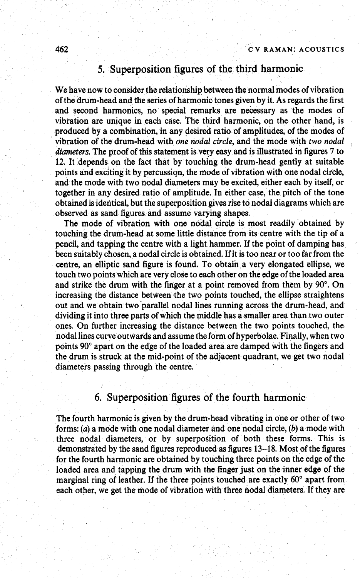# **5. Superposition figures of the third harmonic**

We have now to consider the relationship between the normal modes of vibration of the drum-head and the series of harmonic tones given by it. As regards the first and second harmonics, no special remarks are necessary as the modes of vibration are unique in each case. The third harmonic, on the other hand, is produced by a combination, in any desired ratio of amplitudes, of the modes of vibration of the drum-head with one nodal circle, and the mode with two nodal diameters. The proof of this statement is very easy and is illustrated in figures 7 to 12. It depends on the fact that by touching the drum-head gently at suitable points and exciting it by percussion, the mode of vibration with one nodal circle, and the mode with two nodal diameters may be excited, either each by itself, or together in any desired ratio of amplitude. In either case, the pitch of the tone obtained is identical, but the superposition gives rise to nodal diagrams which are observed as sand figures and assume varying shapes.

The mode of vibration with one nodal circle is most readily obtained by touching the drum-head at some little distance from its centre with the tip of a pencil, and tapping the centre with a light hammer. If the point of damping has been suitably chosen, a nodal circle is obtained. If it is too near or too far from the centre, an elliptic sand figure is found. To obtain a very elongated ellipse, we touch two points which are very close to each other on the edge of the loaded area and strike the drum with the finger at a point removed from them by 90". On increasing the distance between the two points touched, the ellipse straightens out and we obtain two parallel nodal lines running across the drum-head, and dividing it into three parts of which the middle has a smaller area than two outer ones. On further increasing the distance between the two points touched, the nodal lines curve outwards and assume the form of hyperbolae. Finally, when two points 90" apart on the edge of the loaded area are damped with the fingers and the drum is struck at the mid-point of the adjacent quadrant, we get two nodal diameters passing through the centre.

## **6. Superposition figures of the fourth harmonic**

The fourth harmonic is given by the drum-head vibrating in one or other of two forms: (a) a mode with one nodal diameter and one nodal circle, (b) a mode with three nodal diameters, or by superposition of both these forms. This is demonstrated by the sand figures reproduced as figures 13-18. Most of the figures for the fourth harmonic are obtained by touching three points on the edge of the loaded area and tapping the drum with the finger just on the inner edge of the marginal ring of leather. If the three points touched are exactly 60" apart from each other, we get the mode of vibration with three nodal diameters. If they are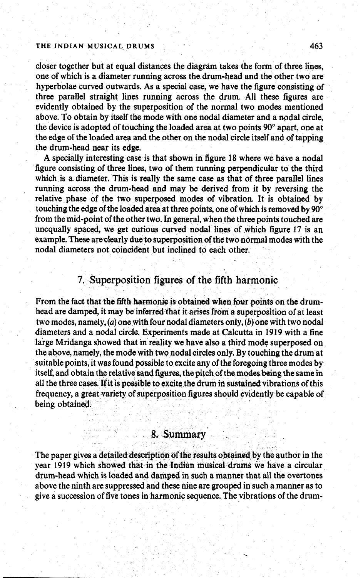closer together but at equal distances the diagram takes the form of three lines, one of which is a diameter running across the drum-head and the other two are hyperbolae curved outwards. As a special case, we have the figure consisting of three parallel straight lines running across the drum. All these figures are evidently obtained by the superposition of the normal two modes mentioned above. To obtain by itself the mode with one nodal diameter and a nodal circle, the device is adopted of touching the loaded area at two points **90"** apart, one at the edge of the loaded area and the other on the nodal circle itself and of tapping the drum-head near its edge.

A specially interesting case is that shown in figure **18** where we have a nodal figure consisting of three lines, two of them running perpendicular to the third which is a diameter. This is really the same case as that of three parallel lines running across the drum-head and may be derived from it by reversing the relative phase of the two superposed modes of vibration. It is obtained by touching the edge of the loaded area at three points, one of which is removed by **90"**  from the mid-point of the other two. In general, when the three points touched are unequally spaced, we get curious curved nodal lines of which figure **17** is an example. These are clearly due to superposition of the two ndrmal modes with the nodal diameters not coincident but inclined to each other.

## 7. Superposition figures of the fifth harmonic

From the fact that the fifth harmonic is obtained when four points on the drumhead are damped, it may be inferred that it arises from a superposition of at least two modes, namely, (a) one with four nodal diameters only, (b) one with two nodal diameters and a nodal circle. Experiments made at Calcutta in **1919** with a fine large Mridanga showed that in reality we have also a third mode superposed on the above, namely, the mode with two nodal circles only. By touching the drum at suitable points, it was found possible to excite any of the foregoing three modes by itself, and obtain the relative sand figures, the pitch of the modes being the same in all the three cases. If it is possible to excite the drum in sustained vibrations of this frequency, a great variety of superposition figures should evidently be capable of being obtained.

#### **8,** Summary

The paper gives a detailed description of the results obtained by the author in the year **1919** which showed that in the Indian musical Urums we have a circular drum-head which is loaded and damped in such a manner that all the overtones above the ninth are suppressed and these nine are grouped in such a manner as to give a succession of five tones in harmonic sequence. The vibrations of the drum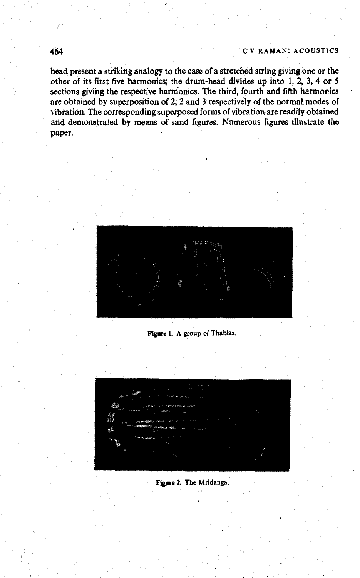head present a striking analogy to the case of a stretched string giving one or the other of its first five harmonics; the drum-head divides up into 1, 2, 3, 4 or 5 sections giving the respective harmonics. The third, fourth and fifth harmonics are obtained by superposition of 2; 2 and 3 respectively of the normal modes of vibration. The corresponding superposed forms of vibration are readily obtained and demonstrated by means of sand figures. Numerous figures illustrate the paper.



**Figure 1. A group of Thablas.** 



**Figure 2, The Mridanga.**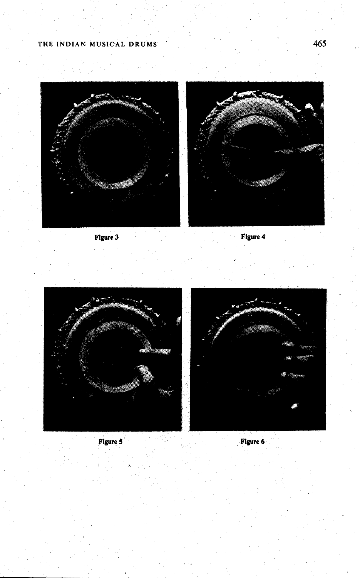





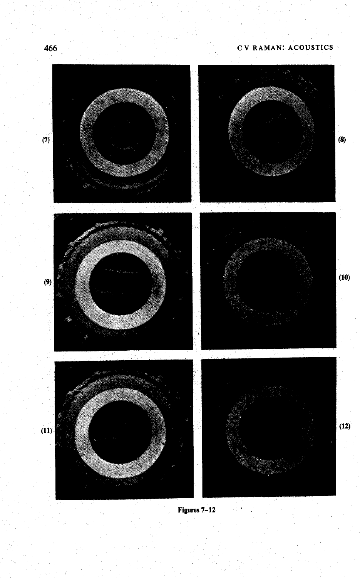

**Figures 7-12**